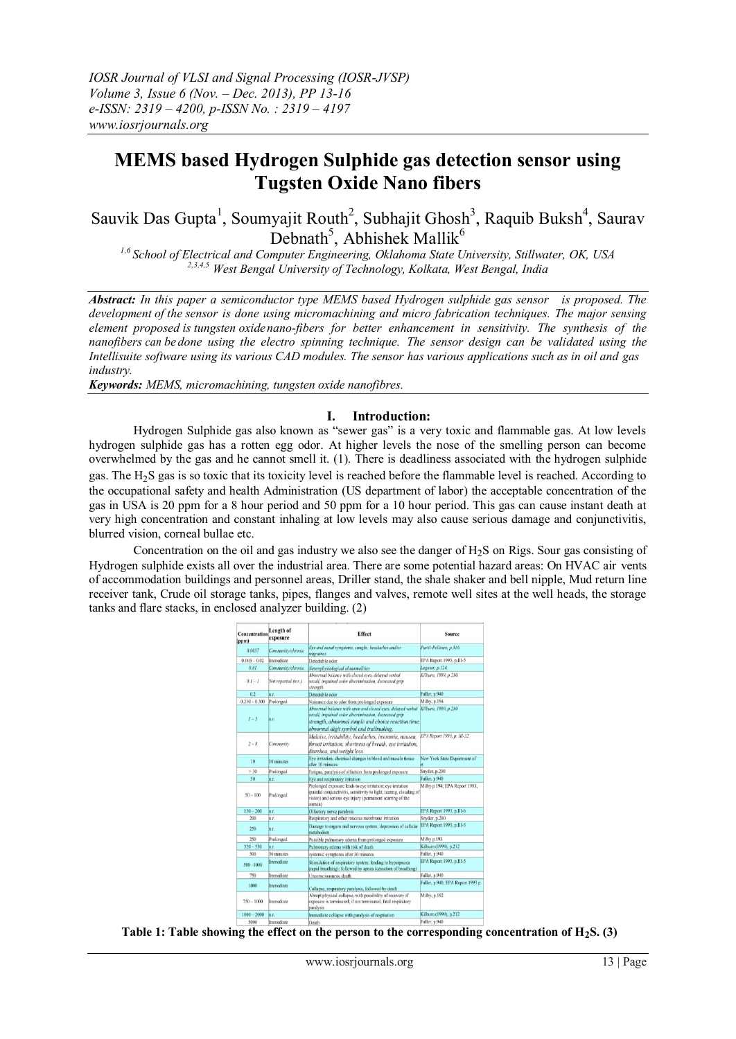# **MEMS based Hydrogen Sulphide gas detection sensor using Tugsten Oxide Nano fibers**

Sauvik Das Gupta<sup>1</sup>, Soumyajit Routh<sup>2</sup>, Subhajit Ghosh<sup>3</sup>, Raquib Buksh<sup>4</sup>, Saurav Debnath<sup>5</sup>, Abhishek Mallik<sup>6</sup>

*1,6 School of Electrical and Computer Engineering, Oklahoma State University, Stillwater, OK, USA 2,3,4,5 West Bengal University of Technology, Kolkata, West Bengal, India*

*Abstract: In this paper a semiconductor type MEMS based Hydrogen sulphide gas sensor is proposed. The development of the sensor is done using micromachining and micro fabrication techniques. The major sensing element proposed is tungsten oxidenano-fibers for better enhancement in sensitivity. The synthesis of the nanofibers can be done using the electro spinning technique. The sensor design can be validated using the Intellisuite software using its various CAD modules. The sensor has various applications such as in oil and gas industry.*

*Keywords: MEMS, micromachining, tungsten oxide nanofibres.*

#### **I. Introduction:**

Hydrogen Sulphide gas also known as "sewer gas" is a very toxic and flammable gas. At low levels hydrogen sulphide gas has a rotten egg odor. At higher levels the nose of the smelling person can become overwhelmed by the gas and he cannot smell it. (1). There is deadliness associated with the hydrogen sulphide gas. The H2S gas is so toxic that its toxicity level is reached before the flammable level is reached. According to the occupational safety and health Administration (US department of labor) the acceptable concentration of the gas in USA is 20 ppm for a 8 hour period and 50 ppm for a 10 hour period. This gas can cause instant death at very high concentration and constant inhaling at low levels may also cause serious damage and conjunctivitis, blurred vision, corneal bullae etc.

Concentration on the oil and gas industry we also see the danger of  $H_2S$  on Rigs. Sour gas consisting of Hydrogen sulphide exists all over the industrial area. There are some potential hazard areas: On HVAC air vents of accommodation buildings and personnel areas, Driller stand, the shale shaker and bell nipple, Mud return line receiver tank, Crude oil storage tanks, pipes, flanges and valves, remote well sites at the well heads, the storage tanks and flare stacks, in enclosed analyzer building. (2)

| Concentration<br>(ppm) | Length of<br>exposure | <b>Effect</b>                                                                                                                                                                                                                             | Source                            |
|------------------------|-----------------------|-------------------------------------------------------------------------------------------------------------------------------------------------------------------------------------------------------------------------------------------|-----------------------------------|
| 0.0057                 | Community/chronic     | Eve and nasal symptoms, coughs, headaches and/or<br>migraines                                                                                                                                                                             | Partti-Pellinen, p.316.           |
| $0.003 - 0.02$         | Immediate             | Detectable odor                                                                                                                                                                                                                           | EPA Report 1993, p.III-5          |
| 0.01                   | Community/chronic     | Neurophysiological abnormalities                                                                                                                                                                                                          | Legator, p.124.                   |
| $0.1 - 1$              | Not reported (n.r.)   | Abnormal balance with closed eyes, delayed verbal<br>recall, impaired color discrimination, decreased grip<br>strength                                                                                                                    | Kilburn, 1999, p.210.             |
| 0.2                    | n.r.                  | Detectable odor                                                                                                                                                                                                                           | Fuller, p.940                     |
| $0.250 - 0.300$        | Prolonged             | Nuisance due to odor from prolonged exposure                                                                                                                                                                                              | Milby, p.194                      |
| $1 - 5$                | n.r.                  | Abnormal balance with open and closed eves, delayed verbal Kilburn, 1999, p.210<br>recall, impaired color discrimination, decreased grip<br>strength, abnormal simple and choice reaction time.<br>abnormal digit symbol and trailmaking. |                                   |
| $2 - 8$                | Community             | Malaise, irritability, headaches, insomnia, nausea,<br>throat irritation, shortness of breath, eye irritation,<br>diarrhea, and weight loss                                                                                               | EPA Report 1993, p. III-32.       |
| 10                     | 10 minutes            | Eve irritation, chemical changes in blood and muscle tissue<br>after 10 minutes                                                                                                                                                           | New York State Department of      |
| > 30                   | Prolonged             | Fatigue, paralysis of olfaction from prolonged exposure                                                                                                                                                                                   | Snyder, p.200                     |
| 50                     | n.r.                  | Eye and respiratory irritation                                                                                                                                                                                                            | Fuller, p.940                     |
| $50 - 100$             | Prolonged             | Prolonged exposure leads to eye irritation; eye irritation<br>(painful conjunctivitis, sensitivity to light, tearing, clouding of<br>vision) and serious eye injury (permanent scarring of the<br>cornea)                                 | Milby p.194; EPA Report 1993,     |
| $150 - 200$            | n.r.                  | Olfactory nerve paralysis                                                                                                                                                                                                                 | EPA Report 1993, p.III-6          |
| 200                    | n.r.                  | Respiratory and other mucous membrane irritation                                                                                                                                                                                          | Snyder, p.200                     |
| 250                    | n.r.                  | Damage to organs and nervous system; depression of cellular<br>metabolism                                                                                                                                                                 | EPA Report 1993, p.III-5          |
| 250                    | Prolonged             | Possible pulmonary edema from prolonged exposure                                                                                                                                                                                          | Milby p.193                       |
| $320 - 530$            | n.r.                  | Pulmonary edema with risk of death                                                                                                                                                                                                        | Kilburn (1999), p.212             |
| 500                    | 30 minutes            | systemic symptoms after 30 minutes                                                                                                                                                                                                        | Fuller, p.940                     |
| $500 - 1000$           | Immediate             | Stimulation of respiratory system, leading to hyperpnoea<br>(rapid breathing); followed by apnea (cessation of breathing)                                                                                                                 | EPA Report 1993, p.III-5          |
| 750                    | Immediate             | Unconsciousness, death                                                                                                                                                                                                                    | Fuller, p.940                     |
| 1000                   | Immediate             | Collapse, respiratory paralysis, followed by death                                                                                                                                                                                        | Fuller, p.940, EPA Report 1993 p. |
| $750 - 1000$           | Immediate             | Abrupt physical collapse, with possibility of recovery if<br>exposure is terminated; if not terminated, fatal respiratory<br>paralysis                                                                                                    | Milby, p.192                      |
| $1000 - 2000$          | n.r.                  | Immediate collapse with paralysis of respiration                                                                                                                                                                                          | Kilburn (1999), p.212             |
| <b>CODO</b>            | Immadiata             |                                                                                                                                                                                                                                           | Euller n 040                      |

**Table 1: Table showing the effect on the person to the corresponding concentration of H2S. (3)**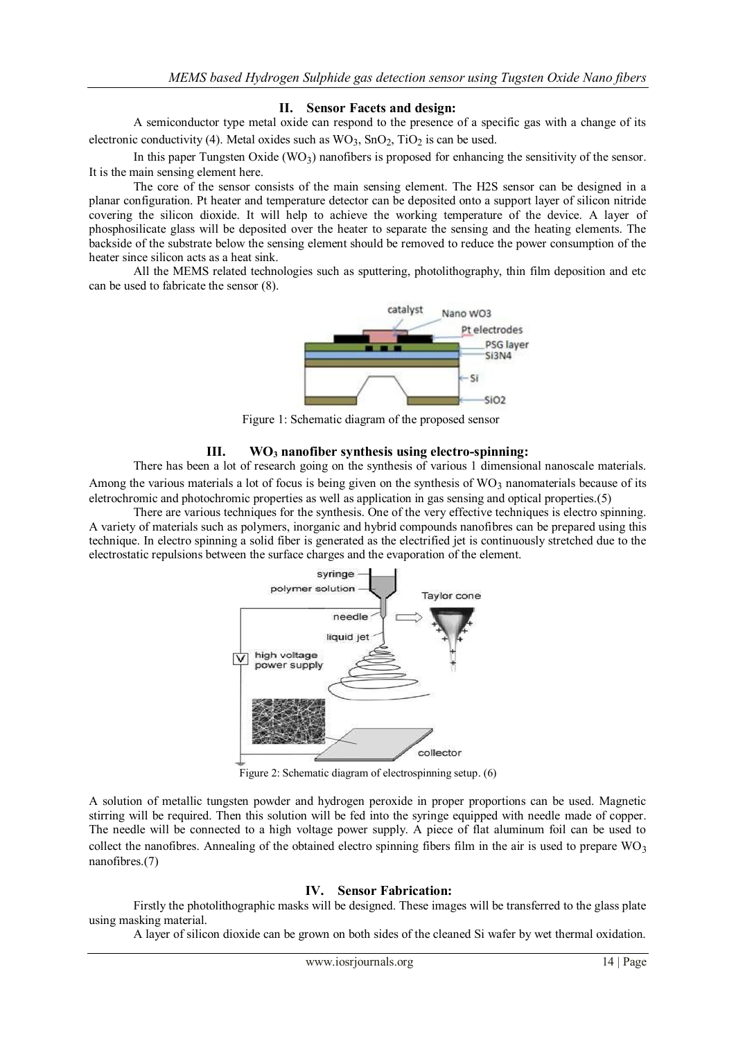### **II. Sensor Facets and design:**

A semiconductor type metal oxide can respond to the presence of a specific gas with a change of its electronic conductivity (4). Metal oxides such as  $WO_3$ ,  $SnO_2$ ,  $TiO_2$  is can be used.

In this paper Tungsten Oxide  $(WO_3)$  nanofibers is proposed for enhancing the sensitivity of the sensor. It is the main sensing element here.

The core of the sensor consists of the main sensing element. The H2S sensor can be designed in a planar configuration. Pt heater and temperature detector can be deposited onto a support layer of silicon nitride covering the silicon dioxide. It will help to achieve the working temperature of the device. A layer of phosphosilicate glass will be deposited over the heater to separate the sensing and the heating elements. The backside of the substrate below the sensing element should be removed to reduce the power consumption of the heater since silicon acts as a heat sink.

All the MEMS related technologies such as sputtering, photolithography, thin film deposition and etc can be used to fabricate the sensor (8).



Figure 1: Schematic diagram of the proposed sensor

## **III. WO<sup>3</sup> nanofiber synthesis using electro-spinning:**

There has been a lot of research going on the synthesis of various 1 dimensional nanoscale materials. Among the various materials a lot of focus is being given on the synthesis of  $WO<sub>3</sub>$  nanomaterials because of its eletrochromic and photochromic properties as well as application in gas sensing and optical properties.(5)

There are various techniques for the synthesis. One of the very effective techniques is electro spinning. A variety of materials such as polymers, inorganic and hybrid compounds nanofibres can be prepared using this technique. In electro spinning a solid fiber is generated as the electrified jet is continuously stretched due to the electrostatic repulsions between the surface charges and the evaporation of the element.



Figure 2: Schematic diagram of electrospinning setup. (6)

A solution of metallic tungsten powder and hydrogen peroxide in proper proportions can be used. Magnetic stirring will be required. Then this solution will be fed into the syringe equipped with needle made of copper. The needle will be connected to a high voltage power supply. A piece of flat aluminum foil can be used to collect the nanofibres. Annealing of the obtained electro spinning fibers film in the air is used to prepare  $WO_3$ nanofibres.(7)

#### **IV. Sensor Fabrication:**

Firstly the photolithographic masks will be designed. These images will be transferred to the glass plate using masking material.

A layer of silicon dioxide can be grown on both sides of the cleaned Si wafer by wet thermal oxidation.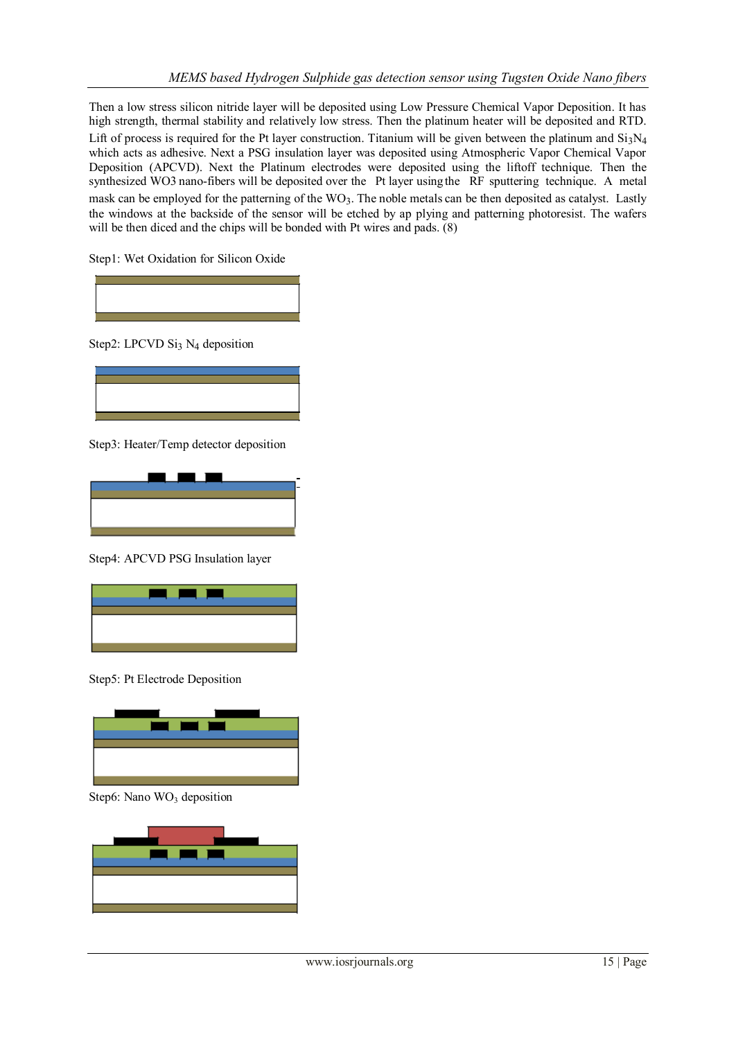Then a low stress silicon nitride layer will be deposited using Low Pressure Chemical Vapor Deposition. It has high strength, thermal stability and relatively low stress. Then the platinum heater will be deposited and RTD. Lift of process is required for the Pt layer construction. Titanium will be given between the platinum and  $Si_3N_4$ which acts as adhesive. Next a PSG insulation layer was deposited using Atmospheric Vapor Chemical Vapor Deposition (APCVD). Next the Platinum electrodes were deposited using the liftoff technique. Then the synthesized WO3 nano-fibers will be deposited over the Pt layer usingthe RF sputtering technique. A metal mask can be employed for the patterning of the WO<sub>3</sub>. The noble metals can be then deposited as catalyst. Lastly the windows at the backside of the sensor will be etched by ap plying and patterning photoresist. The wafers will be then diced and the chips will be bonded with Pt wires and pads. (8)

Step1: Wet Oxidation for Silicon Oxide



Step2: LPCVD Si<sub>3</sub> N<sub>4</sub> deposition



Step3: Heater/Temp detector deposition



Step4: APCVD PSG Insulation layer



Step5: Pt Electrode Deposition



Step6: Nano  $WO<sub>3</sub>$  deposition